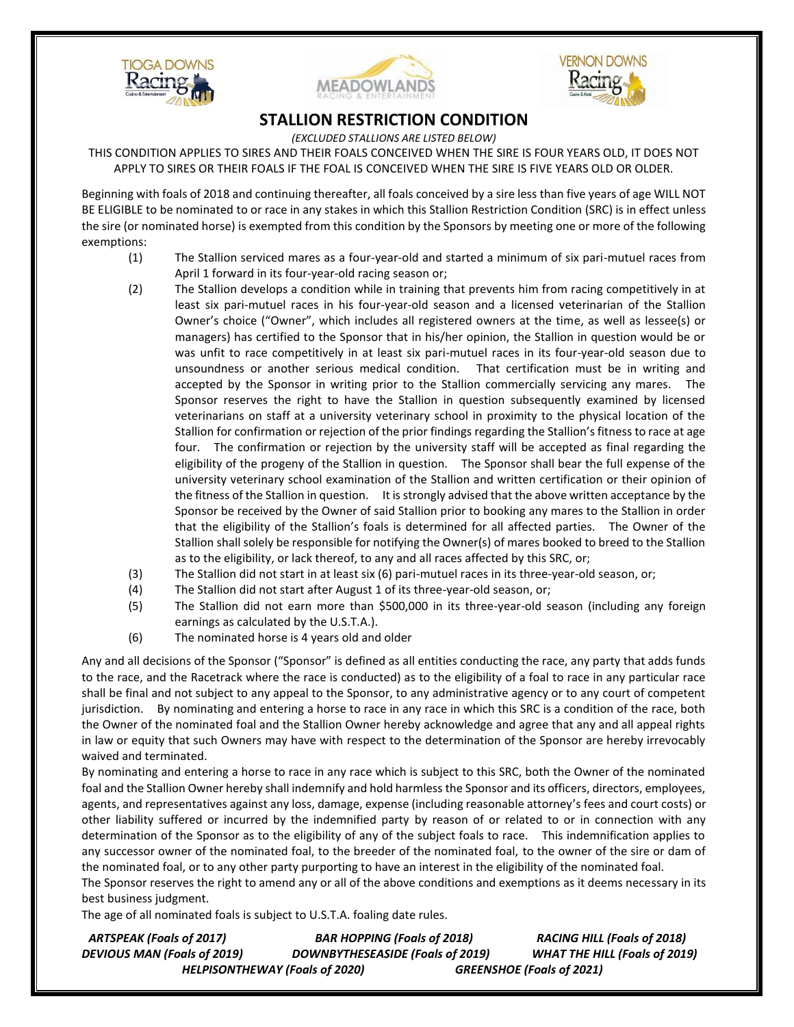





## **STALLION RESTRICTION CONDITION**

*(EXCLUDED STALLIONS ARE LISTED BELOW)*

THIS CONDITION APPLIES TO SIRES AND THEIR FOALS CONCEIVED WHEN THE SIRE IS FOUR YEARS OLD, IT DOES NOT APPLY TO SIRES OR THEIR FOALS IF THE FOAL IS CONCEIVED WHEN THE SIRE IS FIVE YEARS OLD OR OLDER.

Beginning with foals of 2018 and continuing thereafter, all foals conceived by a sire less than five years of age WILL NOT BE ELIGIBLE to be nominated to or race in any stakes in which this Stallion Restriction Condition (SRC) is in effect unless the sire (or nominated horse) is exempted from this condition by the Sponsors by meeting one or more of the following exemptions:

- (1) The Stallion serviced mares as a four-year-old and started a minimum of six pari-mutuel races from April 1 forward in its four-year-old racing season or;
- (2) The Stallion develops a condition while in training that prevents him from racing competitively in at least six pari-mutuel races in his four-year-old season and a licensed veterinarian of the Stallion Owner's choice ("Owner", which includes all registered owners at the time, as well as lessee(s) or managers) has certified to the Sponsor that in his/her opinion, the Stallion in question would be or was unfit to race competitively in at least six pari-mutuel races in its four-year-old season due to unsoundness or another serious medical condition. That certification must be in writing and accepted by the Sponsor in writing prior to the Stallion commercially servicing any mares. The Sponsor reserves the right to have the Stallion in question subsequently examined by licensed veterinarians on staff at a university veterinary school in proximity to the physical location of the Stallion for confirmation or rejection of the prior findings regarding the Stallion's fitness to race at age four. The confirmation or rejection by the university staff will be accepted as final regarding the eligibility of the progeny of the Stallion in question. The Sponsor shall bear the full expense of the university veterinary school examination of the Stallion and written certification or their opinion of the fitness of the Stallion in question. It is strongly advised that the above written acceptance by the Sponsor be received by the Owner of said Stallion prior to booking any mares to the Stallion in order that the eligibility of the Stallion's foals is determined for all affected parties. The Owner of the Stallion shall solely be responsible for notifying the Owner(s) of mares booked to breed to the Stallion as to the eligibility, or lack thereof, to any and all races affected by this SRC, or;
- (3) The Stallion did not start in at least six (6) pari-mutuel races in its three-year-old season, or;
- (4) The Stallion did not start after August 1 of its three-year-old season, or;
- (5) The Stallion did not earn more than \$500,000 in its three-year-old season (including any foreign earnings as calculated by the U.S.T.A.).
- (6) The nominated horse is 4 years old and older

Any and all decisions of the Sponsor ("Sponsor" is defined as all entities conducting the race, any party that adds funds to the race, and the Racetrack where the race is conducted) as to the eligibility of a foal to race in any particular race shall be final and not subject to any appeal to the Sponsor, to any administrative agency or to any court of competent jurisdiction. By nominating and entering a horse to race in any race in which this SRC is a condition of the race, both the Owner of the nominated foal and the Stallion Owner hereby acknowledge and agree that any and all appeal rights in law or equity that such Owners may have with respect to the determination of the Sponsor are hereby irrevocably waived and terminated.

By nominating and entering a horse to race in any race which is subject to this SRC, both the Owner of the nominated foal and the Stallion Owner hereby shall indemnify and hold harmless the Sponsor and its officers, directors, employees, agents, and representatives against any loss, damage, expense (including reasonable attorney's fees and court costs) or other liability suffered or incurred by the indemnified party by reason of or related to or in connection with any determination of the Sponsor as to the eligibility of any of the subject foals to race. This indemnification applies to any successor owner of the nominated foal, to the breeder of the nominated foal, to the owner of the sire or dam of the nominated foal, or to any other party purporting to have an interest in the eligibility of the nominated foal.

The Sponsor reserves the right to amend any or all of the above conditions and exemptions as it deems necessary in its best business judgment.

The age of all nominated foals is subject to U.S.T.A. foaling date rules.

| <b>ARTSPEAK (Foals of 2017)</b> | <b>BAR HOPPING (Foals of 2018)</b> | <b>RACING HILL (Foals of 2018)</b>   |
|---------------------------------|------------------------------------|--------------------------------------|
| DEVIOUS MAN (Foals of 2019)     | DOWNBYTHESEASIDE (Foals of 2019)   | <b>WHAT THE HILL (Foals of 2019)</b> |